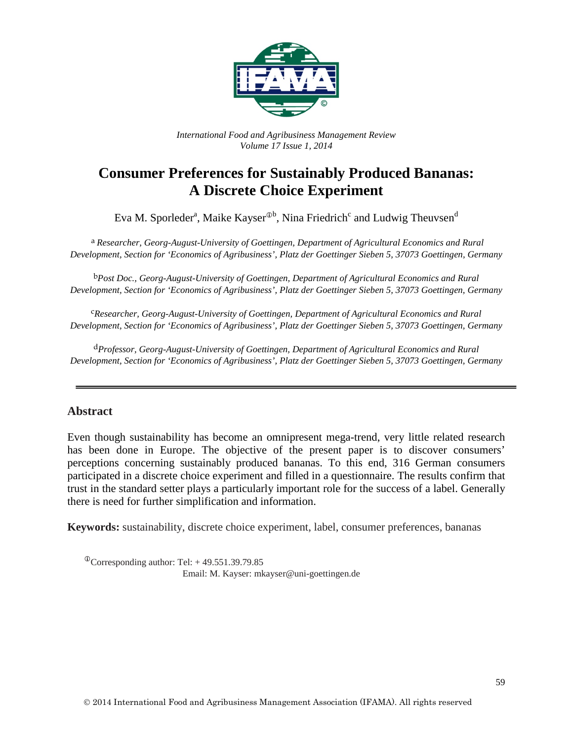

*International Food and Agribusiness Management Review Volume 17 Issue 1, 2014*

# **Consumer Preferences for Sustainably Produced Bananas: A Discrete Choice Experiment**

Eva M. Sporleder<sup>a</sup>, Maike Kayser $^{\text{\textregistered}}$ , Nina Friedrich $^{\text{c}}$  and Ludwig Theuvsen $^{\text{\textnormal{d}}}$ 

a *Researcher, Georg-August-University of Goettingen, Department of Agricultural Economics and Rural Development, Section for 'Economics of Agribusiness', Platz der Goettinger Sieben 5, 37073 Goettingen, Germany*

b*Post Doc., Georg-August-University of Goettingen, Department of Agricultural Economics and Rural Development, Section for 'Economics of Agribusiness', Platz der Goettinger Sieben 5, 37073 Goettingen, Germany*

c*Researcher, Georg-August-University of Goettingen, Department of Agricultural Economics and Rural Development, Section for 'Economics of Agribusiness', Platz der Goettinger Sieben 5, 37073 Goettingen, Germany*

d*Professor, Georg-August-University of Goettingen, Department of Agricultural Economics and Rural Development, Section for 'Economics of Agribusiness', Platz der Goettinger Sieben 5, 37073 Goettingen, Germany*

## **Abstract**

Even though sustainability has become an omnipresent mega-trend, very little related research has been done in Europe. The objective of the present paper is to discover consumers' perceptions concerning sustainably produced bananas. To this end, 316 German consumers participated in a discrete choice experiment and filled in a questionnaire. The results confirm that trust in the standard setter plays a particularly important role for the success of a label. Generally there is need for further simplification and information.

**Keywords:** sustainability, discrete choice experiment, label, consumer preferences, bananas

 $^{\circ}$ Corresponding author: Tel: +49.551.39.79.85 Email: M. Kayser: mkayser@uni-goettingen.de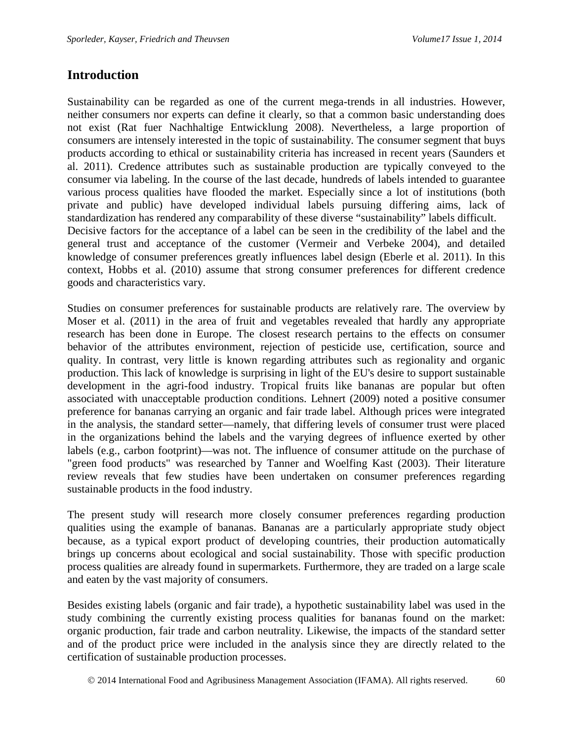# **Introduction**

Sustainability can be regarded as one of the current mega-trends in all industries. However, neither consumers nor experts can define it clearly, so that a common basic understanding does not exist (Rat fuer Nachhaltige Entwicklung 2008). Nevertheless, a large proportion of consumers are intensely interested in the topic of sustainability. The consumer segment that buys products according to ethical or sustainability criteria has increased in recent years (Saunders et al. 2011). Credence attributes such as sustainable production are typically conveyed to the consumer via labeling. In the course of the last decade, hundreds of labels intended to guarantee various process qualities have flooded the market. Especially since a lot of institutions (both private and public) have developed individual labels pursuing differing aims, lack of standardization has rendered any comparability of these diverse "sustainability" labels difficult. Decisive factors for the acceptance of a label can be seen in the credibility of the label and the general trust and acceptance of the customer (Vermeir and Verbeke 2004), and detailed knowledge of consumer preferences greatly influences label design (Eberle et al. 2011). In this context, Hobbs et al. (2010) assume that strong consumer preferences for different credence goods and characteristics vary.

Studies on consumer preferences for sustainable products are relatively rare. The overview by Moser et al. (2011) in the area of fruit and vegetables revealed that hardly any appropriate research has been done in Europe. The closest research pertains to the effects on consumer behavior of the attributes environment, rejection of pesticide use, certification, source and quality. In contrast, very little is known regarding attributes such as regionality and organic production. This lack of knowledge is surprising in light of the EU's desire to support sustainable development in the agri-food industry. Tropical fruits like bananas are popular but often associated with unacceptable production conditions. Lehnert (2009) noted a positive consumer preference for bananas carrying an organic and fair trade label. Although prices were integrated in the analysis, the standard setter—namely, that differing levels of consumer trust were placed in the organizations behind the labels and the varying degrees of influence exerted by other labels (e.g., carbon footprint)—was not. The influence of consumer attitude on the purchase of "green food products" was researched by Tanner and Woelfing Kast (2003). Their literature review reveals that few studies have been undertaken on consumer preferences regarding sustainable products in the food industry.

The present study will research more closely consumer preferences regarding production qualities using the example of bananas. Bananas are a particularly appropriate study object because, as a typical export product of developing countries, their production automatically brings up concerns about ecological and social sustainability. Those with specific production process qualities are already found in supermarkets. Furthermore, they are traded on a large scale and eaten by the vast majority of consumers.

Besides existing labels (organic and fair trade), a hypothetic sustainability label was used in the study combining the currently existing process qualities for bananas found on the market: organic production, fair trade and carbon neutrality. Likewise, the impacts of the standard setter and of the product price were included in the analysis since they are directly related to the certification of sustainable production processes.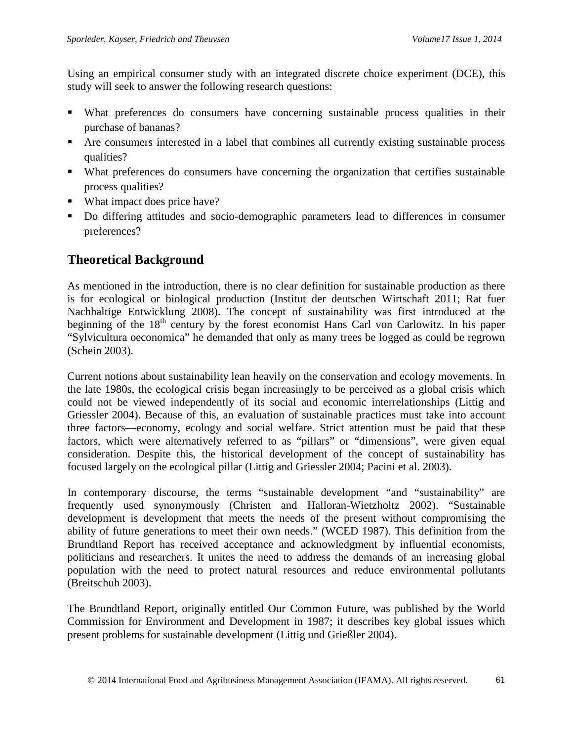Using an empirical consumer study with an integrated discrete choice experiment (DCE), this study will seek to answer the following research questions:

- What preferences do consumers have concerning sustainable process qualities in their purchase of bananas?
- Are consumers interested in a label that combines all currently existing sustainable process qualities?
- What preferences do consumers have concerning the organization that certifies sustainable process qualities?
- What impact does price have?
- Do differing attitudes and socio-demographic parameters lead to differences in consumer preferences?

# **Theoretical Background**

As mentioned in the introduction, there is no clear definition for sustainable production as there is for ecological or biological production (Institut der deutschen Wirtschaft 2011; Rat fuer Nachhaltige Entwicklung 2008). The concept of sustainability was first introduced at the beginning of the  $18<sup>th</sup>$  century by the forest economist Hans Carl von Carlowitz. In his paper "Sylvicultura oeconomica" he demanded that only as many trees be logged as could be regrown (Schein 2003).

Current notions about sustainability lean heavily on the conservation and ecology movements. In the late 1980s, the ecological crisis began increasingly to be perceived as a global crisis which could not be viewed independently of its social and economic interrelationships (Littig and Griessler 2004). Because of this, an evaluation of sustainable practices must take into account three factors—economy, ecology and social welfare. Strict attention must be paid that these factors, which were alternatively referred to as "pillars" or "dimensions", were given equal consideration. Despite this, the historical development of the concept of sustainability has focused largely on the ecological pillar (Littig and Griessler 2004; Pacini et al. 2003).

In contemporary discourse, the terms "sustainable development "and "sustainability" are frequently used synonymously (Christen and Halloran-Wietzholtz 2002). "Sustainable development is development that meets the needs of the present without compromising the ability of future generations to meet their own needs." (WCED 1987). This definition from the Brundtland Report has received acceptance and acknowledgment by influential economists, politicians and researchers. It unites the need to address the demands of an increasing global population with the need to protect natural resources and reduce environmental pollutants (Breitschuh 2003).

The Brundtland Report, originally entitled Our Common Future, was published by the World Commission for Environment and Development in 1987; it describes key global issues which present problems for sustainable development (Littig und Grießler 2004).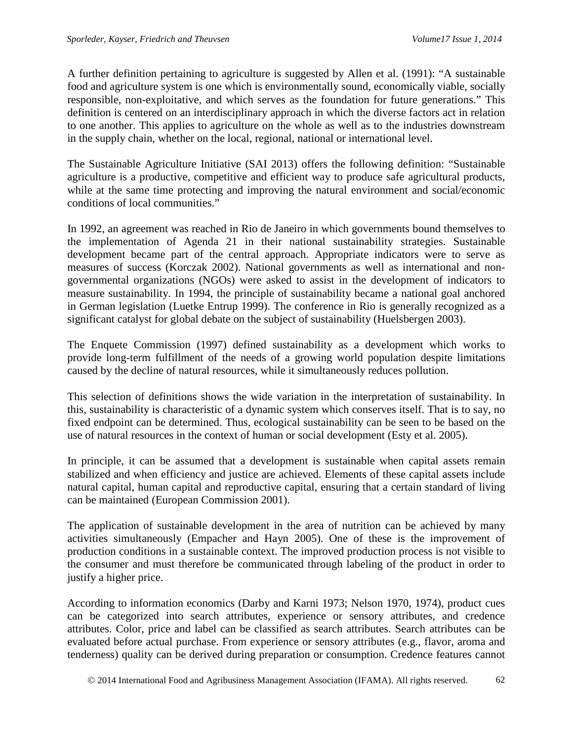A further definition pertaining to agriculture is suggested by Allen et al. (1991): "A sustainable food and agriculture system is one which is environmentally sound, economically viable, socially responsible, non-exploitative, and which serves as the foundation for future generations." This definition is centered on an interdisciplinary approach in which the diverse factors act in relation to one another. This applies to agriculture on the whole as well as to the industries downstream in the supply chain, whether on the local, regional, national or international level.

The Sustainable Agriculture Initiative (SAI 2013) offers the following definition: "Sustainable agriculture is a productive, competitive and efficient way to produce safe agricultural products, while at the same time protecting and improving the natural environment and social/economic conditions of local communities."

In 1992, an agreement was reached in Rio de Janeiro in which governments bound themselves to the implementation of Agenda 21 in their national sustainability strategies. Sustainable development became part of the central approach. Appropriate indicators were to serve as measures of success (Korczak 2002). National governments as well as international and nongovernmental organizations (NGOs) were asked to assist in the development of indicators to measure sustainability. In 1994, the principle of sustainability became a national goal anchored in German legislation (Luetke Entrup 1999). The conference in Rio is generally recognized as a significant catalyst for global debate on the subject of sustainability (Huelsbergen 2003).

The Enquete Commission (1997) defined sustainability as a development which works to provide long-term fulfillment of the needs of a growing world population despite limitations caused by the decline of natural resources, while it simultaneously reduces pollution.

This selection of definitions shows the wide variation in the interpretation of sustainability. In this, sustainability is characteristic of a dynamic system which conserves itself. That is to say, no fixed endpoint can be determined. Thus, ecological sustainability can be seen to be based on the use of natural resources in the context of human or social development (Esty et al. 2005).

In principle, it can be assumed that a development is sustainable when capital assets remain stabilized and when efficiency and justice are achieved. Elements of these capital assets include natural capital, human capital and reproductive capital, ensuring that a certain standard of living can be maintained (European Commission 2001).

The application of sustainable development in the area of nutrition can be achieved by many activities simultaneously (Empacher and Hayn 2005). One of these is the improvement of production conditions in a sustainable context. The improved production process is not visible to the consumer and must therefore be communicated through labeling of the product in order to justify a higher price.

According to information economics (Darby and Karni 1973; Nelson 1970, 1974), product cues can be categorized into search attributes, experience or sensory attributes, and credence attributes. Color, price and label can be classified as search attributes. Search attributes can be evaluated before actual purchase. From experience or sensory attributes (e.g., flavor, aroma and tenderness) quality can be derived during preparation or consumption. Credence features cannot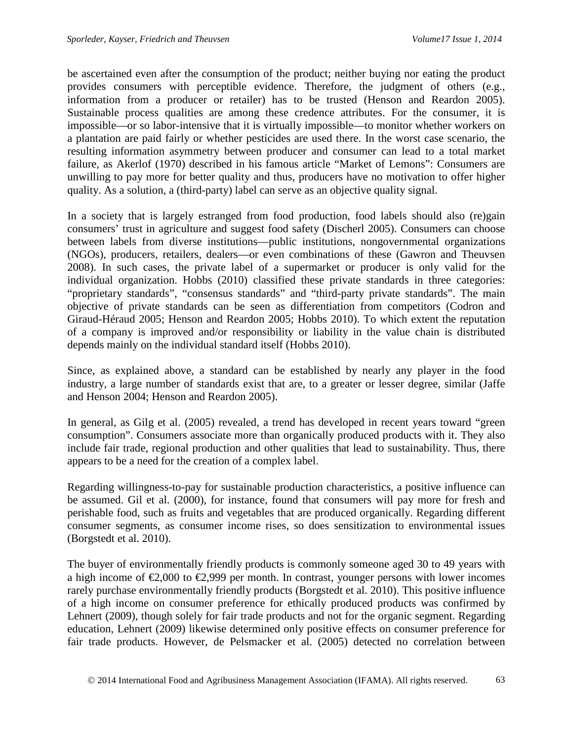be ascertained even after the consumption of the product; neither buying nor eating the product provides consumers with perceptible evidence. Therefore, the judgment of others (e.g., information from a producer or retailer) has to be trusted (Henson and Reardon 2005). Sustainable process qualities are among these credence attributes. For the consumer, it is impossible—or so labor-intensive that it is virtually impossible—to monitor whether workers on a plantation are paid fairly or whether pesticides are used there. In the worst case scenario, the resulting information asymmetry between producer and consumer can lead to a total market failure, as Akerlof (1970) described in his famous article "Market of Lemons": Consumers are unwilling to pay more for better quality and thus, producers have no motivation to offer higher quality. As a solution, a (third-party) label can serve as an objective quality signal.

In a society that is largely estranged from food production, food labels should also (re)gain consumers' trust in agriculture and suggest food safety (Discherl 2005). Consumers can choose between labels from diverse institutions—public institutions, nongovernmental organizations (NGOs), producers, retailers, dealers—or even combinations of these (Gawron and Theuvsen 2008). In such cases, the private label of a supermarket or producer is only valid for the individual organization. Hobbs (2010) classified these private standards in three categories: "proprietary standards", "consensus standards" and "third-party private standards". The main objective of private standards can be seen as differentiation from competitors (Codron and Giraud-Héraud 2005; Henson and Reardon 2005; Hobbs 2010). To which extent the reputation of a company is improved and/or responsibility or liability in the value chain is distributed depends mainly on the individual standard itself (Hobbs 2010).

Since, as explained above, a standard can be established by nearly any player in the food industry, a large number of standards exist that are, to a greater or lesser degree, similar (Jaffe and Henson 2004; Henson and Reardon 2005).

In general, as Gilg et al. (2005) revealed, a trend has developed in recent years toward "green consumption". Consumers associate more than organically produced products with it. They also include fair trade, regional production and other qualities that lead to sustainability. Thus, there appears to be a need for the creation of a complex label.

Regarding willingness-to-pay for sustainable production characteristics, a positive influence can be assumed. Gil et al. (2000), for instance, found that consumers will pay more for fresh and perishable food, such as fruits and vegetables that are produced organically. Regarding different consumer segments, as consumer income rises, so does sensitization to environmental issues (Borgstedt et al. 2010).

The buyer of environmentally friendly products is commonly someone aged 30 to 49 years with a high income of  $\epsilon 2,000$  to  $\epsilon 2,999$  per month. In contrast, younger persons with lower incomes rarely purchase environmentally friendly products (Borgstedt et al. 2010). This positive influence of a high income on consumer preference for ethically produced products was confirmed by Lehnert (2009), though solely for fair trade products and not for the organic segment. Regarding education, Lehnert (2009) likewise determined only positive effects on consumer preference for fair trade products. However, de Pelsmacker et al. (2005) detected no correlation between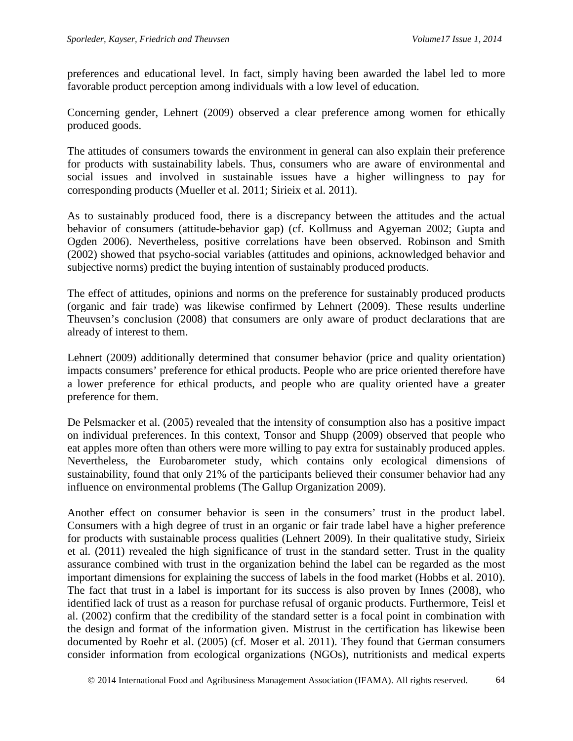preferences and educational level. In fact, simply having been awarded the label led to more favorable product perception among individuals with a low level of education.

Concerning gender, Lehnert (2009) observed a clear preference among women for ethically produced goods.

The attitudes of consumers towards the environment in general can also explain their preference for products with sustainability labels. Thus, consumers who are aware of environmental and social issues and involved in sustainable issues have a higher willingness to pay for corresponding products (Mueller et al. 2011; Sirieix et al. 2011).

As to sustainably produced food, there is a discrepancy between the attitudes and the actual behavior of consumers (attitude-behavior gap) (cf. Kollmuss and Agyeman 2002; Gupta and Ogden 2006). Nevertheless, positive correlations have been observed. Robinson and Smith (2002) showed that psycho-social variables (attitudes and opinions, acknowledged behavior and subjective norms) predict the buying intention of sustainably produced products.

The effect of attitudes, opinions and norms on the preference for sustainably produced products (organic and fair trade) was likewise confirmed by Lehnert (2009). These results underline Theuvsen's conclusion (2008) that consumers are only aware of product declarations that are already of interest to them.

Lehnert (2009) additionally determined that consumer behavior (price and quality orientation) impacts consumers' preference for ethical products. People who are price oriented therefore have a lower preference for ethical products, and people who are quality oriented have a greater preference for them.

De Pelsmacker et al. (2005) revealed that the intensity of consumption also has a positive impact on individual preferences. In this context, Tonsor and Shupp (2009) observed that people who eat apples more often than others were more willing to pay extra for sustainably produced apples. Nevertheless, the Eurobarometer study, which contains only ecological dimensions of sustainability, found that only 21% of the participants believed their consumer behavior had any influence on environmental problems (The Gallup Organization 2009).

Another effect on consumer behavior is seen in the consumers' trust in the product label. Consumers with a high degree of trust in an organic or fair trade label have a higher preference for products with sustainable process qualities (Lehnert 2009). In their qualitative study, Sirieix et al. (2011) revealed the high significance of trust in the standard setter. Trust in the quality assurance combined with trust in the organization behind the label can be regarded as the most important dimensions for explaining the success of labels in the food market (Hobbs et al. 2010). The fact that trust in a label is important for its success is also proven by Innes (2008), who identified lack of trust as a reason for purchase refusal of organic products. Furthermore, Teisl et al. (2002) confirm that the credibility of the standard setter is a focal point in combination with the design and format of the information given. Mistrust in the certification has likewise been documented by Roehr et al. (2005) (cf. Moser et al. 2011). They found that German consumers consider information from ecological organizations (NGOs), nutritionists and medical experts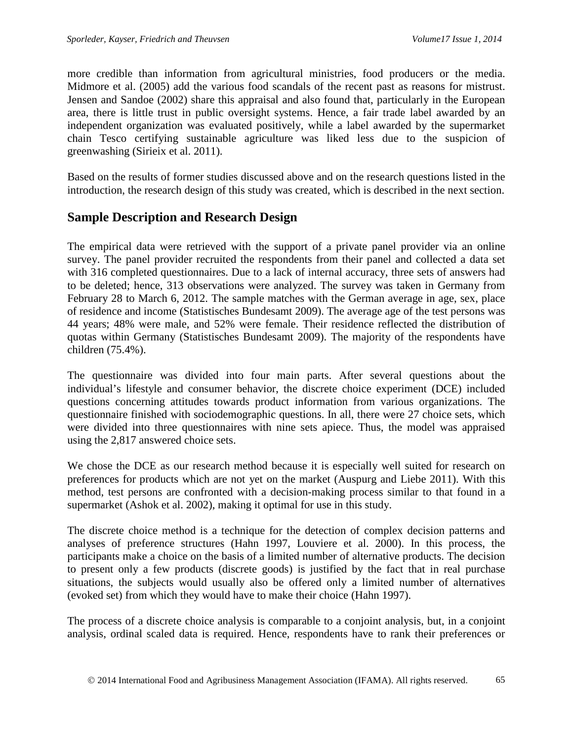more credible than information from agricultural ministries, food producers or the media. Midmore et al. (2005) add the various food scandals of the recent past as reasons for mistrust. Jensen and Sandoe (2002) share this appraisal and also found that, particularly in the European area, there is little trust in public oversight systems. Hence, a fair trade label awarded by an independent organization was evaluated positively, while a label awarded by the supermarket chain Tesco certifying sustainable agriculture was liked less due to the suspicion of greenwashing (Sirieix et al. 2011).

Based on the results of former studies discussed above and on the research questions listed in the introduction, the research design of this study was created, which is described in the next section.

# **Sample Description and Research Design**

The empirical data were retrieved with the support of a private panel provider via an online survey. The panel provider recruited the respondents from their panel and collected a data set with 316 completed questionnaires. Due to a lack of internal accuracy, three sets of answers had to be deleted; hence, 313 observations were analyzed. The survey was taken in Germany from February 28 to March 6, 2012. The sample matches with the German average in age, sex, place of residence and income (Statistisches Bundesamt 2009). The average age of the test persons was 44 years; 48% were male, and 52% were female. Their residence reflected the distribution of quotas within Germany (Statistisches Bundesamt 2009). The majority of the respondents have children (75.4%).

The questionnaire was divided into four main parts. After several questions about the individual's lifestyle and consumer behavior, the discrete choice experiment (DCE) included questions concerning attitudes towards product information from various organizations. The questionnaire finished with sociodemographic questions. In all, there were 27 choice sets, which were divided into three questionnaires with nine sets apiece. Thus, the model was appraised using the 2,817 answered choice sets.

We chose the DCE as our research method because it is especially well suited for research on preferences for products which are not yet on the market (Auspurg and Liebe 2011). With this method, test persons are confronted with a decision-making process similar to that found in a supermarket (Ashok et al. 2002), making it optimal for use in this study.

The discrete choice method is a technique for the detection of complex decision patterns and analyses of preference structures (Hahn 1997, Louviere et al. 2000). In this process, the participants make a choice on the basis of a limited number of alternative products. The decision to present only a few products (discrete goods) is justified by the fact that in real purchase situations, the subjects would usually also be offered only a limited number of alternatives (evoked set) from which they would have to make their choice (Hahn 1997).

The process of a discrete choice analysis is comparable to a conjoint analysis, but, in a conjoint analysis, ordinal scaled data is required. Hence, respondents have to rank their preferences or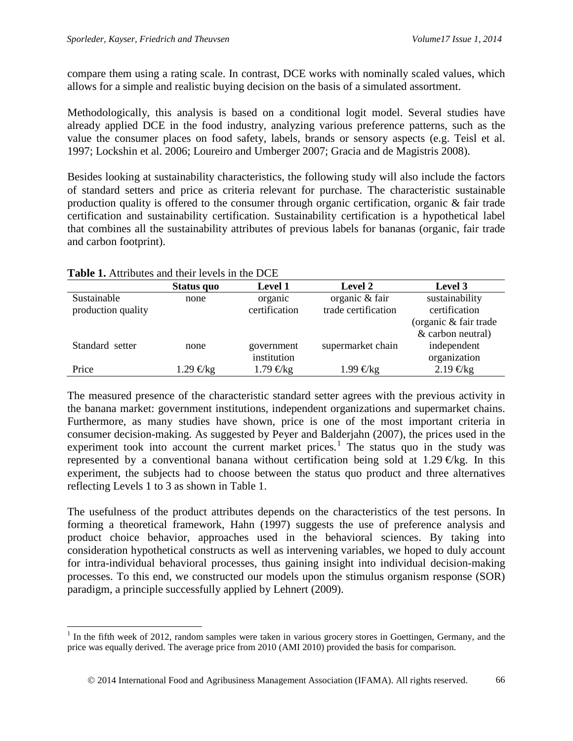compare them using a rating scale. In contrast, DCE works with nominally scaled values, which allows for a simple and realistic buying decision on the basis of a simulated assortment.

Methodologically, this analysis is based on a conditional logit model. Several studies have already applied DCE in the food industry, analyzing various preference patterns, such as the value the consumer places on food safety, labels, brands or sensory aspects (e.g. Teisl et al. 1997; Lockshin et al. 2006; Loureiro and Umberger 2007; Gracia and de Magistris 2008).

Besides looking at sustainability characteristics, the following study will also include the factors of standard setters and price as criteria relevant for purchase. The characteristic sustainable production quality is offered to the consumer through organic certification, organic & fair trade certification and sustainability certification. Sustainability certification is a hypothetical label that combines all the sustainability attributes of previous labels for bananas (organic, fair trade and carbon footprint).

|                    | Status quo  | <b>Level 1</b> | Level 2             | Level 3               |
|--------------------|-------------|----------------|---------------------|-----------------------|
| Sustainable        | none        | organic        | organic & fair      | sustainability        |
| production quality |             | certification  | trade certification | certification         |
|                    |             |                |                     | (organic & fair trade |
|                    |             |                |                     | & carbon neutral)     |
| Standard setter    | none        | government     | supermarket chain   | independent           |
|                    |             | institution    |                     | organization          |
| Price              | 1.29 € $kg$ | 1.79 € $kg$    | 1.99 € $kg$         | $2.19 \text{ Ekg}$    |

## **Table 1.** Attributes and their levels in the DCE

The measured presence of the characteristic standard setter agrees with the previous activity in the banana market: government institutions, independent organizations and supermarket chains. Furthermore, as many studies have shown, price is one of the most important criteria in consumer decision-making. As suggested by Peyer and Balderjahn (2007), the prices used in the experiment took into account the current market prices.<sup>[1](#page-7-0)</sup> The status quo in the study was represented by a conventional banana without certification being sold at 1.29  $\epsilon$ kg. In this experiment, the subjects had to choose between the status quo product and three alternatives reflecting Levels 1 to 3 as shown in Table 1.

The usefulness of the product attributes depends on the characteristics of the test persons. In forming a theoretical framework, Hahn (1997) suggests the use of preference analysis and product choice behavior, approaches used in the behavioral sciences. By taking into consideration hypothetical constructs as well as intervening variables, we hoped to duly account for intra-individual behavioral processes, thus gaining insight into individual decision-making processes. To this end, we constructed our models upon the stimulus organism response (SOR) paradigm, a principle successfully applied by Lehnert (2009).

<span id="page-7-0"></span> $<sup>1</sup>$  In the fifth week of 2012, random samples were taken in various grocery stores in Goettingen, Germany, and the</sup> price was equally derived. The average price from 2010 (AMI 2010) provided the basis for comparison.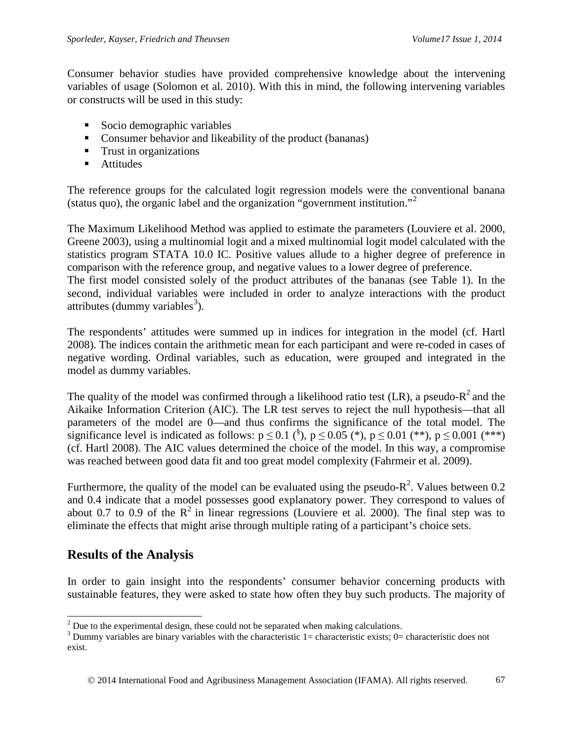Consumer behavior studies have provided comprehensive knowledge about the intervening variables of usage (Solomon et al. 2010). With this in mind, the following intervening variables or constructs will be used in this study:

- Socio demographic variables
- Consumer behavior and likeability of the product (bananas)
- **Trust in organizations**
- **Attitudes**

The reference groups for the calculated logit regression models were the conventional banana (status quo), the organic label and the organization "government institution."[2](#page-8-0)

The Maximum Likelihood Method was applied to estimate the parameters (Louviere et al. 2000, Greene 2003), using a multinomial logit and a mixed multinomial logit model calculated with the statistics program STATA 10.0 IC. Positive values allude to a higher degree of preference in comparison with the reference group, and negative values to a lower degree of preference. The first model consisted solely of the product attributes of the bananas (see Table 1). In the second, individual variables were included in order to analyze interactions with the product attributes (dummy variables<sup>[3](#page-8-1)</sup>).

The respondents' attitudes were summed up in indices for integration in the model (cf. Hartl 2008). The indices contain the arithmetic mean for each participant and were re-coded in cases of negative wording. Ordinal variables, such as education, were grouped and integrated in the model as dummy variables.

The quality of the model was confirmed through a likelihood ratio test (LR), a pseudo- $R^2$  and the Aikaike Information Criterion (AIC). The LR test serves to reject the null hypothesis—that all parameters of the model are 0—and thus confirms the significance of the total model. The significance level is indicated as follows:  $p \le 0.1$  (<sup>§</sup>),  $p \le 0.05$  (\*),  $p \le 0.01$  (\*\*),  $p \le 0.001$  (\*\*\*) (cf. Hartl 2008). The AIC values determined the choice of the model. In this way, a compromise was reached between good data fit and too great model complexity (Fahrmeir et al. 2009).

Furthermore, the quality of the model can be evaluated using the pseudo- $R^2$ . Values between 0.2 and 0.4 indicate that a model possesses good explanatory power. They correspond to values of about 0.7 to 0.9 of the  $R^2$  in linear regressions (Louviere et al. 2000). The final step was to eliminate the effects that might arise through multiple rating of a participant's choice sets.

# **Results of the Analysis**

In order to gain insight into the respondents' consumer behavior concerning products with sustainable features, they were asked to state how often they buy such products. The majority of

<span id="page-8-1"></span><span id="page-8-0"></span><sup>&</sup>lt;sup>2</sup> Due to the experimental design, these could not be separated when making calculations.<br><sup>3</sup> Dummy variables are binary variables with the characteristic 1= characteristic exists; 0= characteristic does not exist.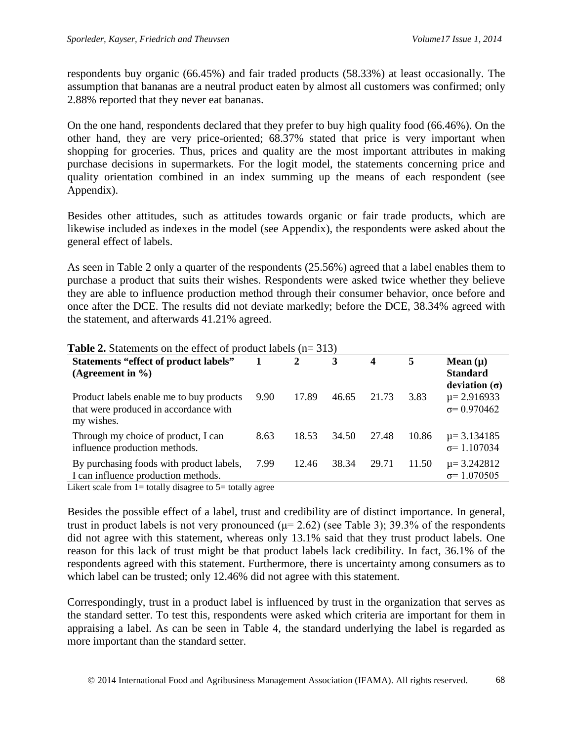respondents buy organic (66.45%) and fair traded products (58.33%) at least occasionally. The assumption that bananas are a neutral product eaten by almost all customers was confirmed; only 2.88% reported that they never eat bananas.

On the one hand, respondents declared that they prefer to buy high quality food (66.46%). On the other hand, they are very price-oriented; 68.37% stated that price is very important when shopping for groceries. Thus, prices and quality are the most important attributes in making purchase decisions in supermarkets. For the logit model, the statements concerning price and quality orientation combined in an index summing up the means of each respondent (see Appendix).

Besides other attitudes, such as attitudes towards organic or fair trade products, which are likewise included as indexes in the model (see Appendix), the respondents were asked about the general effect of labels.

As seen in Table 2 only a quarter of the respondents (25.56%) agreed that a label enables them to purchase a product that suits their wishes. Respondents were asked twice whether they believe they are able to influence production method through their consumer behavior, once before and once after the DCE. The results did not deviate markedly; before the DCE, 38.34% agreed with the statement, and afterwards 41.21% agreed.

| <b>Statements "effect of product labels"</b><br>(Agreement in $\%$ )                                                                                                              |      | 2     | 3     | 4     | 5     | Mean $(\mu)$<br><b>Standard</b><br>deviation $(\sigma)$ |
|-----------------------------------------------------------------------------------------------------------------------------------------------------------------------------------|------|-------|-------|-------|-------|---------------------------------------------------------|
| Product labels enable me to buy products<br>that were produced in accordance with<br>my wishes.                                                                                   | 9.90 | 17.89 | 46.65 | 21.73 | 3.83  | $\mu = 2.916933$<br>$\sigma$ = 0.970462                 |
| Through my choice of product, I can<br>influence production methods.                                                                                                              | 8.63 | 18.53 | 34.50 | 27.48 | 10.86 | $\mu$ = 3.134185<br>$\sigma$ = 1.107034                 |
| By purchasing foods with product labels,<br>I can influence production methods.<br>Like $\frac{1}{2}$ from $1 - \frac{1}{2}$ totally discover to $5 - \frac{1}{2}$ totally equal. | 7.99 | 12.46 | 38.34 | 29.71 | 11.50 | $\mu = 3.242812$<br>$\sigma$ = 1.070505                 |

**Table 2.** Statements on the effect of product labels (n= 313)

Likert scale from 1= totally disagree to 5= totally agree

Besides the possible effect of a label, trust and credibility are of distinct importance. In general, trust in product labels is not very pronounced ( $\mu$ = 2.62) (see Table 3); 39.3% of the respondents did not agree with this statement, whereas only 13.1% said that they trust product labels. One reason for this lack of trust might be that product labels lack credibility. In fact, 36.1% of the respondents agreed with this statement. Furthermore, there is uncertainty among consumers as to which label can be trusted; only 12.46% did not agree with this statement.

Correspondingly, trust in a product label is influenced by trust in the organization that serves as the standard setter. To test this, respondents were asked which criteria are important for them in appraising a label. As can be seen in Table 4, the standard underlying the label is regarded as more important than the standard setter.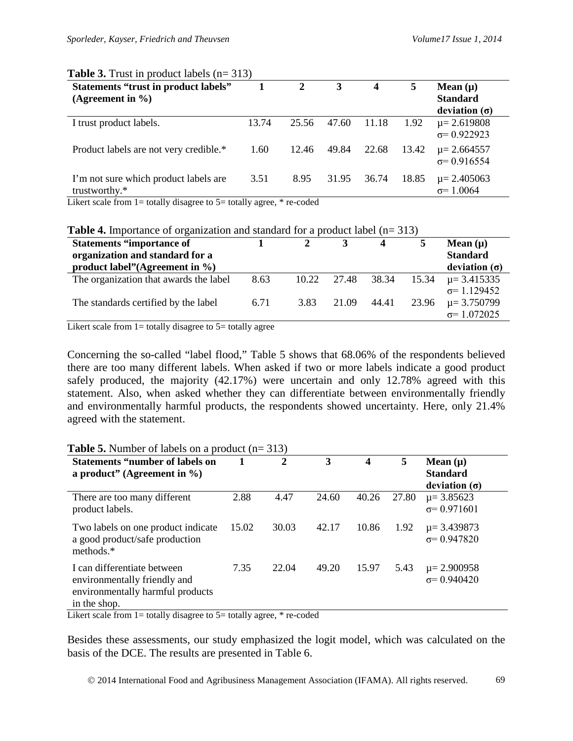|       |       |                                                                               |       | 5     | Mean $(\mu)$<br><b>Standard</b><br>deviation $(\sigma)$ |
|-------|-------|-------------------------------------------------------------------------------|-------|-------|---------------------------------------------------------|
| 13.74 | 25.56 | 47.60                                                                         | 11.18 | 1.92  | $\mu$ = 2.619808<br>$\sigma$ = 0.922923                 |
| 1.60  | 12.46 | 49.84                                                                         | 22.68 | 13.42 | $\mu$ = 2.664557<br>$\sigma$ = 0.916554                 |
| 3.51  | 8.95  | 31.95                                                                         | 36.74 | 18.85 | $\mu$ = 2.405063<br>$\sigma$ = 1.0064                   |
|       |       | Likert scale from $1$ = totally disagree to $5$ = totally agree, $*$ re-coded |       |       |                                                         |

## **Table 3.** Trust in product labels (n= 313)

**Table 4.** Importance of organization and standard for a product label (n= 313)

| <b>Statements "importance of</b><br>organization and standard for a<br>product label" (Agreement in $\%$ ) |      |       |             | $\boldsymbol{4}$ |       | Mean $(\mu)$<br><b>Standard</b><br>deviation $(\sigma)$ |
|------------------------------------------------------------------------------------------------------------|------|-------|-------------|------------------|-------|---------------------------------------------------------|
| The organization that awards the label                                                                     | 8.63 | 10.22 | 27.48 38.34 |                  | 15.34 | $\mu$ = 3.415335                                        |
|                                                                                                            |      |       |             |                  |       | $\sigma$ = 1.129452                                     |
| The standards certified by the label                                                                       | 6.71 | 3.83  | 21.09       | 44.41            | 23.96 | $\mu$ = 3.750799                                        |
|                                                                                                            |      |       |             |                  |       | $\sigma$ = 1.072025                                     |

Likert scale from  $1=$  totally disagree to  $5=$  totally agree

Concerning the so-called "label flood," Table 5 shows that 68.06% of the respondents believed there are too many different labels. When asked if two or more labels indicate a good product safely produced, the majority (42.17%) were uncertain and only 12.78% agreed with this statement. Also, when asked whether they can differentiate between environmentally friendly and environmentally harmful products, the respondents showed uncertainty. Here, only 21.4% agreed with the statement.

| <b>Statements "number of labels on</b><br>a product" (Agreement in $\%$ )                                       |       | $\mathbf{2}$ | 3     | 4     | 5     | Mean $(\mu)$<br><b>Standard</b><br>deviation $(\sigma)$ |
|-----------------------------------------------------------------------------------------------------------------|-------|--------------|-------|-------|-------|---------------------------------------------------------|
| There are too many different<br>product labels.                                                                 | 2.88  | 4.47         | 24.60 | 40.26 | 27.80 | $\mu$ = 3.85623<br>$\sigma$ = 0.971601                  |
| Two labels on one product indicate<br>a good product/safe production<br>methods.*                               | 15.02 | 30.03        | 42.17 | 10.86 | 1.92  | $\mu$ = 3.439873<br>$\sigma$ = 0.947820                 |
| I can differentiate between<br>environmentally friendly and<br>environmentally harmful products<br>in the shop. | 7.35  | 22.04        | 49.20 | 15.97 | 5.43  | $\mu = 2.900958$<br>$\sigma$ = 0.940420                 |

#### **Table 5.** Number of labels on a product (n= 313)

Likert scale from  $1=$  totally disagree to  $5=$  totally agree,  $*$  re-coded

Besides these assessments, our study emphasized the logit model, which was calculated on the basis of the DCE. The results are presented in Table 6.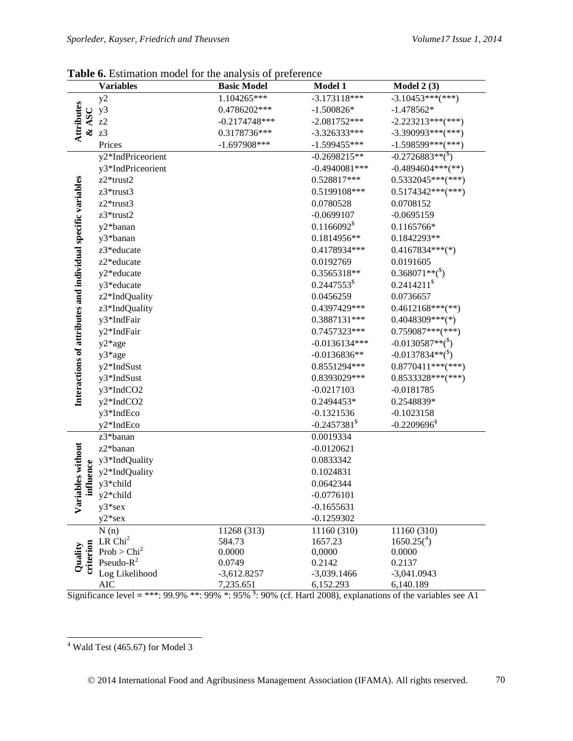|                                                              | <b>Variables</b>        | <b>Basic Model</b> | <b>Model 1</b>             | Model $2(3)$                   |
|--------------------------------------------------------------|-------------------------|--------------------|----------------------------|--------------------------------|
|                                                              | y2                      | 1.104265***        | $-3.173118***$             | $-3.10453***$ (***)            |
|                                                              | y3                      | 0.4786202***       | $-1.500826*$               | $-1.478562*$                   |
| & ASC                                                        | z2                      | $-0.2174748$ ***   | $-2.081752***$             | $-2.223213***$ (***)           |
| Attributes                                                   | z3                      | 0.3178736***       | $-3.326333***$             | $-3.390993***$ (***)           |
|                                                              | Prices                  | $-1.697908***$     | $-1.599455***$             | $-1.598599***$ (***)           |
|                                                              | y2*IndPriceorient       |                    | $-0.2698215**$             | $-0.2726883**({}^{s})$         |
|                                                              | y3*IndPriceorient       |                    | $-0.4940081***$            | $-0.4894604***$ (**)           |
|                                                              | z2*trust2               |                    | 0.528817***                | $0.5332045***$ (***)           |
|                                                              | z3*trust3               |                    | 0.5199108***               | $0.5174342***$ (***)           |
|                                                              | z2*trust3               |                    | 0.0780528                  | 0.0708152                      |
|                                                              | z3*trust2               |                    | $-0.0699107$               | $-0.0695159$                   |
|                                                              | y2*banan                |                    | 0.1166092 <sup>8</sup>     | 0.1165766*                     |
|                                                              | y3*banan                |                    | 0.1814956**                | 0.1842293**                    |
|                                                              | z3*educate              |                    | 0.4178934***               | $0.4167834***$ (*)             |
|                                                              | z2*educate              |                    | 0.0192769                  | 0.0191605                      |
|                                                              | y2*educate              |                    | 0.3565318**                | $0.368071**$ <sup>(\$)</sup>   |
|                                                              | y3*educate              |                    | $0.2447553$ <sup>\$</sup>  | 0.2414211 <sup>§</sup>         |
|                                                              | z2*IndQuality           |                    | 0.0456259                  | 0.0736657                      |
| Interactions of attributes and individual specific variables | z3*IndQuality           |                    | 0.4397429***               | $0.4612168***$ (**)            |
|                                                              | y3*IndFair              |                    | 0.3887131***               | $0.4048309***(*)$              |
|                                                              | y2*IndFair              |                    | 0.7457323***               | $0.759087***$ (***)            |
|                                                              | y2*age                  |                    | $-0.0136134***$            | $-0.0130587**({}^{s})$         |
|                                                              | y3*age                  |                    | $-0.0136836**$             | $-0.0137834**$ <sup>(\$)</sup> |
|                                                              | y2*IndSust              |                    | 0.8551294***               | $0.8770411***$ (***)           |
|                                                              | y3*IndSust              |                    | 0.8393029***               | $0.8533328***$ (***)           |
|                                                              | y3*IndCO2               |                    | $-0.0217103$               | $-0.0181785$                   |
|                                                              | y2*IndCO2               |                    | 0.2494453*                 | 0.2548839*                     |
|                                                              | y3*IndEco               |                    | $-0.1321536$               | $-0.1023158$                   |
|                                                              | y2*IndEco               |                    | $-0.2457381$ <sup>\$</sup> | $-0.2209696$ <sup>§</sup>      |
|                                                              | z3*banan                |                    | 0.0019334                  |                                |
|                                                              | z2*banan                |                    | $-0.0120621$               |                                |
| iables without                                               | y3*IndQuality           |                    | 0.0833342                  |                                |
|                                                              | y2*IndQuality           |                    | 0.1024831                  |                                |
| influence                                                    | y3*child                |                    | 0.0642344                  |                                |
|                                                              | y2*child                |                    | $-0.0776101$               |                                |
| ${\bf \rm v}_{\rm ar}$                                       | $y3*sex$                |                    | $-0.1655631$               |                                |
|                                                              | $y2*sex$                |                    | $-0.1259302$               |                                |
|                                                              | N(n)                    | 11268 (313)        | 11160 (310)                | 11160 (310)                    |
|                                                              | ${\rm LR~Chi}^2$        | 584.73             | 1657.23                    | $1650.25(^4)$                  |
| criterion<br>Quality                                         | Prob > Chi <sup>2</sup> | 0.0000             | 0,0000                     | 0.0000                         |
|                                                              | Pseudo- $R^2$           | 0.0749             | 0.2142                     | 0.2137                         |
|                                                              | Log Likelihood          | $-3,612.8257$      | $-3,039.1466$              | $-3,041.0943$                  |
|                                                              | <b>AIC</b>              | 7,235.651          | 6,152.293                  | 6,140.189                      |

Table 6. Estimation model for the analysis of preference

Significance level = \*\*\*: 99.9% \*\*: 99% \*: 95% <sup>§</sup>: 90% (cf. Hartl 2008), explanations of the variables see A1

<span id="page-11-0"></span> $4$  Wald Test (465.67) for Model 3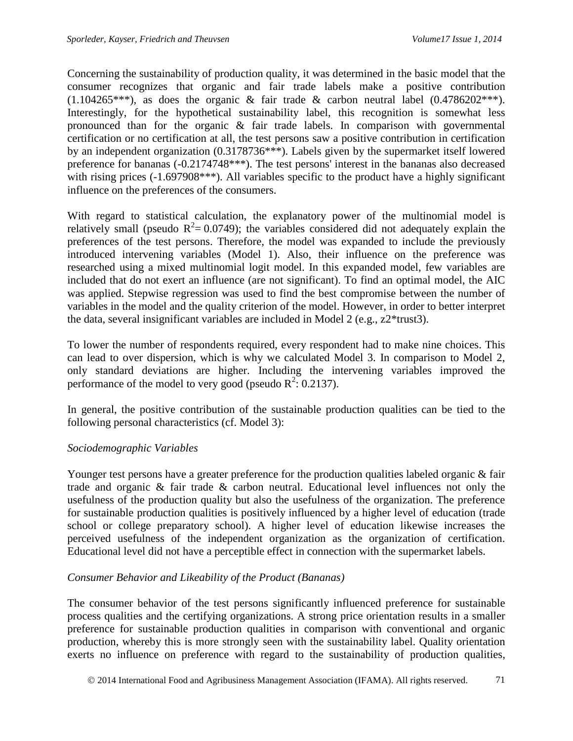Concerning the sustainability of production quality, it was determined in the basic model that the consumer recognizes that organic and fair trade labels make a positive contribution  $(1.104265***)$ , as does the organic & fair trade & carbon neutral label  $(0.4786202***)$ . Interestingly, for the hypothetical sustainability label, this recognition is somewhat less pronounced than for the organic & fair trade labels. In comparison with governmental certification or no certification at all, the test persons saw a positive contribution in certification by an independent organization (0.3178736\*\*\*). Labels given by the supermarket itself lowered preference for bananas (-0.2174748\*\*\*). The test persons' interest in the bananas also decreased with rising prices (-1.697908\*\*\*). All variables specific to the product have a highly significant influence on the preferences of the consumers.

With regard to statistical calculation, the explanatory power of the multinomial model is relatively small (pseudo  $R^2 = 0.0749$ ); the variables considered did not adequately explain the preferences of the test persons. Therefore, the model was expanded to include the previously introduced intervening variables (Model 1). Also, their influence on the preference was researched using a mixed multinomial logit model. In this expanded model, few variables are included that do not exert an influence (are not significant). To find an optimal model, the AIC was applied. Stepwise regression was used to find the best compromise between the number of variables in the model and the quality criterion of the model. However, in order to better interpret the data, several insignificant variables are included in Model 2 (e.g., z2\*trust3).

To lower the number of respondents required, every respondent had to make nine choices. This can lead to over dispersion, which is why we calculated Model 3. In comparison to Model 2, only standard deviations are higher. Including the intervening variables improved the performance of the model to very good (pseudo  $R^2$ : 0.2137).

In general, the positive contribution of the sustainable production qualities can be tied to the following personal characteristics (cf. Model 3):

## *Sociodemographic Variables*

Younger test persons have a greater preference for the production qualities labeled organic & fair trade and organic & fair trade & carbon neutral. Educational level influences not only the usefulness of the production quality but also the usefulness of the organization. The preference for sustainable production qualities is positively influenced by a higher level of education (trade school or college preparatory school). A higher level of education likewise increases the perceived usefulness of the independent organization as the organization of certification. Educational level did not have a perceptible effect in connection with the supermarket labels.

## *Consumer Behavior and Likeability of the Product (Bananas)*

The consumer behavior of the test persons significantly influenced preference for sustainable process qualities and the certifying organizations. A strong price orientation results in a smaller preference for sustainable production qualities in comparison with conventional and organic production, whereby this is more strongly seen with the sustainability label. Quality orientation exerts no influence on preference with regard to the sustainability of production qualities,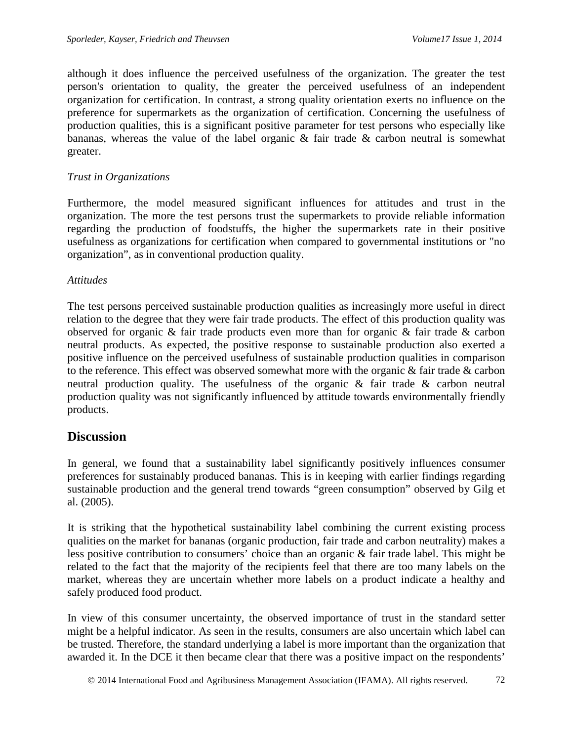although it does influence the perceived usefulness of the organization. The greater the test person's orientation to quality, the greater the perceived usefulness of an independent organization for certification. In contrast, a strong quality orientation exerts no influence on the preference for supermarkets as the organization of certification. Concerning the usefulness of production qualities, this is a significant positive parameter for test persons who especially like bananas, whereas the value of the label organic & fair trade & carbon neutral is somewhat greater.

## *Trust in Organizations*

Furthermore, the model measured significant influences for attitudes and trust in the organization. The more the test persons trust the supermarkets to provide reliable information regarding the production of foodstuffs, the higher the supermarkets rate in their positive usefulness as organizations for certification when compared to governmental institutions or "no organization", as in conventional production quality.

## *Attitudes*

The test persons perceived sustainable production qualities as increasingly more useful in direct relation to the degree that they were fair trade products. The effect of this production quality was observed for organic & fair trade products even more than for organic & fair trade & carbon neutral products. As expected, the positive response to sustainable production also exerted a positive influence on the perceived usefulness of sustainable production qualities in comparison to the reference. This effect was observed somewhat more with the organic & fair trade & carbon neutral production quality. The usefulness of the organic & fair trade & carbon neutral production quality was not significantly influenced by attitude towards environmentally friendly products.

# **Discussion**

In general, we found that a sustainability label significantly positively influences consumer preferences for sustainably produced bananas. This is in keeping with earlier findings regarding sustainable production and the general trend towards "green consumption" observed by Gilg et al. (2005).

It is striking that the hypothetical sustainability label combining the current existing process qualities on the market for bananas (organic production, fair trade and carbon neutrality) makes a less positive contribution to consumers' choice than an organic & fair trade label. This might be related to the fact that the majority of the recipients feel that there are too many labels on the market, whereas they are uncertain whether more labels on a product indicate a healthy and safely produced food product.

In view of this consumer uncertainty, the observed importance of trust in the standard setter might be a helpful indicator. As seen in the results, consumers are also uncertain which label can be trusted. Therefore, the standard underlying a label is more important than the organization that awarded it. In the DCE it then became clear that there was a positive impact on the respondents'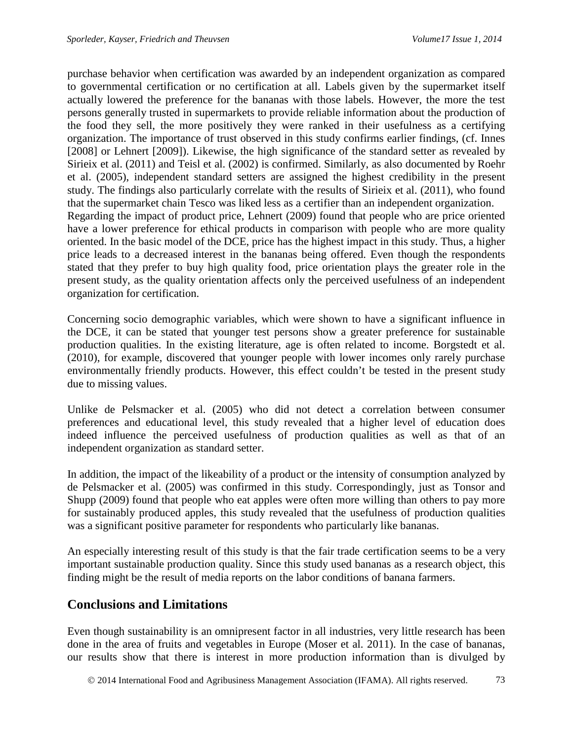purchase behavior when certification was awarded by an independent organization as compared to governmental certification or no certification at all. Labels given by the supermarket itself actually lowered the preference for the bananas with those labels. However, the more the test persons generally trusted in supermarkets to provide reliable information about the production of the food they sell, the more positively they were ranked in their usefulness as a certifying organization. The importance of trust observed in this study confirms earlier findings, (cf. Innes [2008] or Lehnert [2009]). Likewise, the high significance of the standard setter as revealed by Sirieix et al. (2011) and Teisl et al. (2002) is confirmed. Similarly, as also documented by Roehr et al. (2005), independent standard setters are assigned the highest credibility in the present study. The findings also particularly correlate with the results of Sirieix et al. (2011), who found that the supermarket chain Tesco was liked less as a certifier than an independent organization. Regarding the impact of product price, Lehnert (2009) found that people who are price oriented have a lower preference for ethical products in comparison with people who are more quality oriented. In the basic model of the DCE, price has the highest impact in this study. Thus, a higher price leads to a decreased interest in the bananas being offered. Even though the respondents stated that they prefer to buy high quality food, price orientation plays the greater role in the present study, as the quality orientation affects only the perceived usefulness of an independent organization for certification.

Concerning socio demographic variables, which were shown to have a significant influence in the DCE, it can be stated that younger test persons show a greater preference for sustainable production qualities. In the existing literature, age is often related to income. Borgstedt et al. (2010), for example, discovered that younger people with lower incomes only rarely purchase environmentally friendly products. However, this effect couldn't be tested in the present study due to missing values.

Unlike de Pelsmacker et al. (2005) who did not detect a correlation between consumer preferences and educational level, this study revealed that a higher level of education does indeed influence the perceived usefulness of production qualities as well as that of an independent organization as standard setter.

In addition, the impact of the likeability of a product or the intensity of consumption analyzed by de Pelsmacker et al. (2005) was confirmed in this study. Correspondingly, just as Tonsor and Shupp (2009) found that people who eat apples were often more willing than others to pay more for sustainably produced apples, this study revealed that the usefulness of production qualities was a significant positive parameter for respondents who particularly like bananas.

An especially interesting result of this study is that the fair trade certification seems to be a very important sustainable production quality. Since this study used bananas as a research object, this finding might be the result of media reports on the labor conditions of banana farmers.

# **Conclusions and Limitations**

Even though sustainability is an omnipresent factor in all industries, very little research has been done in the area of fruits and vegetables in Europe (Moser et al. 2011). In the case of bananas, our results show that there is interest in more production information than is divulged by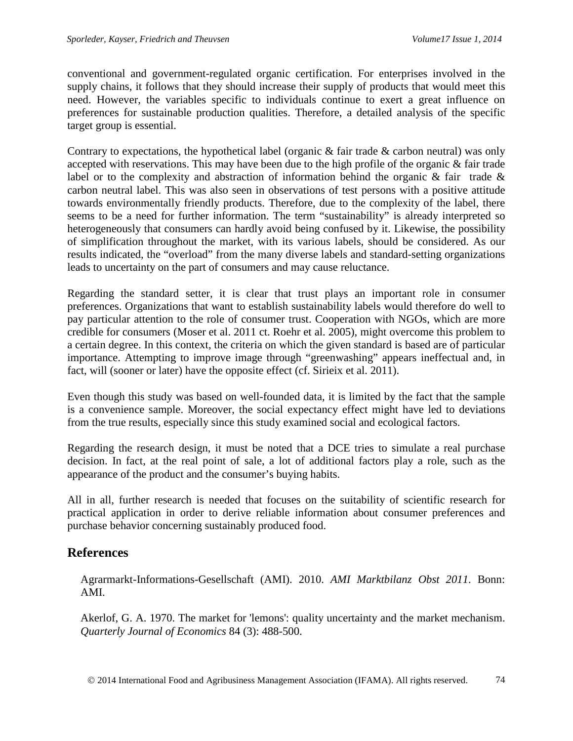conventional and government-regulated organic certification. For enterprises involved in the supply chains, it follows that they should increase their supply of products that would meet this need. However, the variables specific to individuals continue to exert a great influence on preferences for sustainable production qualities. Therefore, a detailed analysis of the specific target group is essential.

Contrary to expectations, the hypothetical label (organic  $\&$  fair trade  $\&$  carbon neutral) was only accepted with reservations. This may have been due to the high profile of the organic & fair trade label or to the complexity and abstraction of information behind the organic & fair trade & carbon neutral label. This was also seen in observations of test persons with a positive attitude towards environmentally friendly products. Therefore, due to the complexity of the label, there seems to be a need for further information. The term "sustainability" is already interpreted so heterogeneously that consumers can hardly avoid being confused by it. Likewise, the possibility of simplification throughout the market, with its various labels, should be considered. As our results indicated, the "overload" from the many diverse labels and standard-setting organizations leads to uncertainty on the part of consumers and may cause reluctance.

Regarding the standard setter, it is clear that trust plays an important role in consumer preferences. Organizations that want to establish sustainability labels would therefore do well to pay particular attention to the role of consumer trust. Cooperation with NGOs, which are more credible for consumers (Moser et al. 2011 ct. Roehr et al. 2005), might overcome this problem to a certain degree. In this context, the criteria on which the given standard is based are of particular importance. Attempting to improve image through "greenwashing" appears ineffectual and, in fact, will (sooner or later) have the opposite effect (cf. Sirieix et al. 2011).

Even though this study was based on well-founded data, it is limited by the fact that the sample is a convenience sample. Moreover, the social expectancy effect might have led to deviations from the true results, especially since this study examined social and ecological factors.

Regarding the research design, it must be noted that a DCE tries to simulate a real purchase decision. In fact, at the real point of sale, a lot of additional factors play a role, such as the appearance of the product and the consumer's buying habits.

All in all, further research is needed that focuses on the suitability of scientific research for practical application in order to derive reliable information about consumer preferences and purchase behavior concerning sustainably produced food.

# **References**

Agrarmarkt-Informations-Gesellschaft (AMI). 2010. *AMI Marktbilanz Obst 2011*. Bonn: AMI.

Akerlof, G. A. 1970. The market for 'lemons': quality uncertainty and the market mechanism. *Quarterly Journal of Economics* 84 (3): 488-500.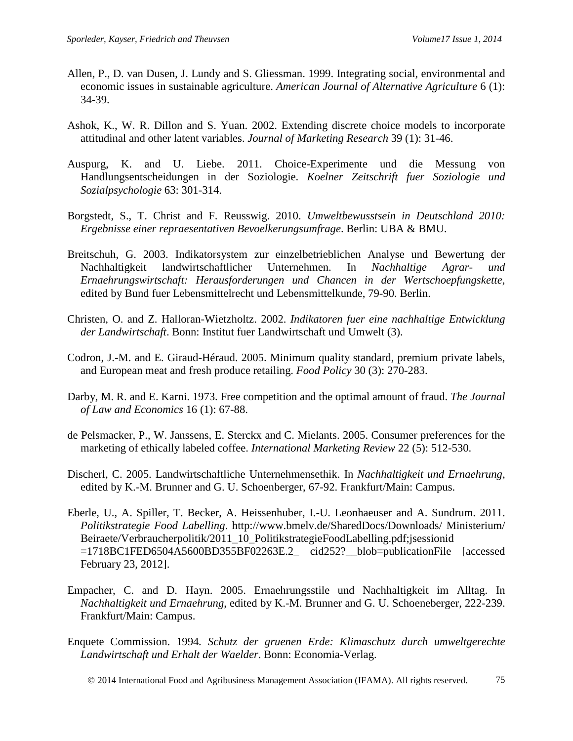- Allen, P., D. van Dusen, J. Lundy and S. Gliessman. 1999. Integrating social, environmental and economic issues in sustainable agriculture. *American Journal of Alternative Agriculture* 6 (1): 34-39.
- Ashok, K., W. R. Dillon and S. Yuan. 2002. Extending discrete choice models to incorporate attitudinal and other latent variables. *Journal of Marketing Research* 39 (1): 31-46.
- Auspurg, K. and U. Liebe. 2011. Choice-Experimente und die Messung von Handlungsentscheidungen in der Soziologie. *Koelner Zeitschrift fuer Soziologie und Sozialpsychologie* 63: 301-314.
- Borgstedt, S., T. Christ and F. Reusswig. 2010. *Umweltbewusstsein in Deutschland 2010: Ergebnisse einer repraesentativen Bevoelkerungsumfrage*. Berlin: UBA & BMU.
- Breitschuh, G. 2003. Indikatorsystem zur einzelbetrieblichen Analyse und Bewertung der Nachhaltigkeit landwirtschaftlicher Unternehmen. In *Nachhaltige Agrar- und Ernaehrungswirtschaft: Herausforderungen und Chancen in der Wertschoepfungskette*, edited by Bund fuer Lebensmittelrecht und Lebensmittelkunde, 79-90. Berlin.
- Christen, O. and Z. Halloran-Wietzholtz. 2002. *Indikatoren fuer eine nachhaltige Entwicklung der Landwirtschaft*. Bonn: Institut fuer Landwirtschaft und Umwelt (3).
- Codron, J.-M. and E. Giraud-Héraud. 2005. Minimum quality standard, premium private labels, and European meat and fresh produce retailing. *Food Policy* 30 (3): 270-283.
- Darby, M. R. and E. Karni. 1973. Free competition and the optimal amount of fraud. *The Journal of Law and Economics* 16 (1): 67-88.
- de Pelsmacker, P., W. Janssens, E. Sterckx and C. Mielants. 2005. Consumer preferences for the marketing of ethically labeled coffee. *International Marketing Review* 22 (5): 512-530.
- Discherl, C. 2005. Landwirtschaftliche Unternehmensethik. In *Nachhaltigkeit und Ernaehrung*, edited by K.-M. Brunner and G. U. Schoenberger, 67-92. Frankfurt/Main: Campus.
- Eberle, U., A. Spiller, T. Becker, A. Heissenhuber, I.-U. Leonhaeuser and A. Sundrum. 2011. *Politikstrategie Food Labelling*. http://www.bmelv.de/SharedDocs/Downloads/ Ministerium/ Beiraete/Verbraucherpolitik/2011\_10\_PolitikstrategieFoodLabelling.pdf;jsessionid =1718BC1FED6504A5600BD355BF02263E.2\_ cid252?\_\_blob=publicationFile [accessed February 23, 2012].
- Empacher, C. and D. Hayn. 2005. Ernaehrungsstile und Nachhaltigkeit im Alltag. In *Nachhaltigkeit und Ernaehrung*, edited by K.-M. Brunner and G. U. Schoeneberger, 222-239. Frankfurt/Main: Campus.
- Enquete Commission. 1994*. Schutz der gruenen Erde: Klimaschutz durch umweltgerechte Landwirtschaft und Erhalt der Waelder*. Bonn: Economia-Verlag.

2014 International Food and Agribusiness Management Association (IFAMA). All rights reserved. 75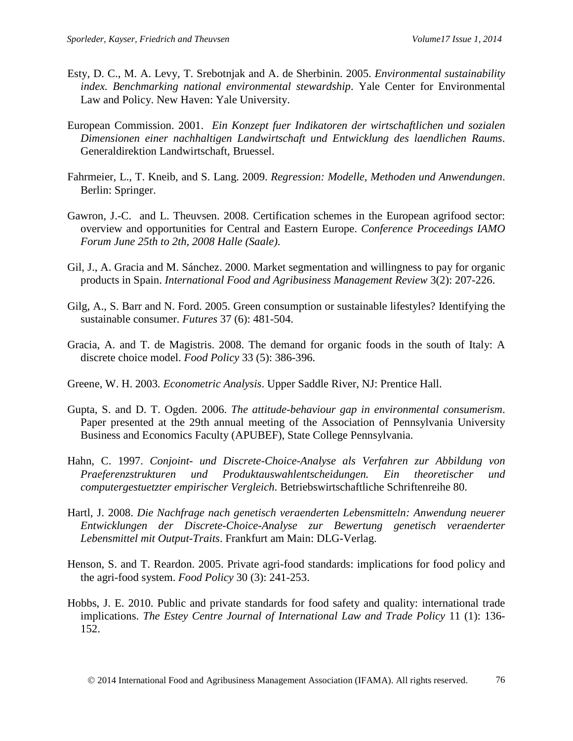- Esty, D. C., M. A. Levy, T. Srebotnjak and A. de Sherbinin. 2005. *Environmental sustainability index. Benchmarking national environmental stewardship*. Yale Center for Environmental Law and Policy. New Haven: Yale University.
- European Commission. 2001. *Ein Konzept fuer Indikatoren der wirtschaftlichen und sozialen Dimensionen einer nachhaltigen Landwirtschaft und Entwicklung des laendlichen Raums*. Generaldirektion Landwirtschaft, Bruessel.
- Fahrmeier, L., T. Kneib, and S. Lang. 2009. *Regression: Modelle, Methoden und Anwendungen*. Berlin: Springer.
- Gawron, J.-C. and L. Theuvsen. 2008. Certification schemes in the European agrifood sector: overview and opportunities for Central and Eastern Europe. *Conference Proceedings IAMO Forum June 25th to 2th, 2008 Halle (Saale)*.
- Gil, J., A. Gracia and M. Sánchez. 2000. Market segmentation and willingness to pay for organic products in Spain. *International Food and Agribusiness Management Review* 3(2): 207-226.
- Gilg, A., S. Barr and N. Ford. 2005. Green consumption or sustainable lifestyles? Identifying the sustainable consumer. *Futures* 37 (6): 481-504.
- Gracia, A. and T. de Magistris. 2008. The demand for organic foods in the south of Italy: A discrete choice model. *Food Policy* 33 (5): 386-396.
- Greene, W. H. 2003*. Econometric Analysis*. Upper Saddle River, NJ: Prentice Hall.
- Gupta, S. and D. T. Ogden. 2006. *The attitude-behaviour gap in environmental consumerism*. Paper presented at the 29th annual meeting of the Association of Pennsylvania University Business and Economics Faculty (APUBEF), State College Pennsylvania.
- Hahn, C. 1997. *Conjoint- und Discrete-Choice-Analyse als Verfahren zur Abbildung von Praeferenzstrukturen und Produktauswahlentscheidungen. Ein theoretischer und computergestuetzter empirischer Vergleich*. Betriebswirtschaftliche Schriftenreihe 80.
- Hartl, J. 2008. *Die Nachfrage nach genetisch veraenderten Lebensmitteln: Anwendung neuerer Entwicklungen der Discrete-Choice-Analyse zur Bewertung genetisch veraenderter Lebensmittel mit Output-Traits*. Frankfurt am Main: DLG-Verlag.
- Henson, S. and T. Reardon. 2005. Private agri-food standards: implications for food policy and the agri-food system. *Food Policy* 30 (3): 241-253.
- Hobbs, J. E. 2010. Public and private standards for food safety and quality: international trade implications. *The Estey Centre Journal of International Law and Trade Policy* 11 (1): 136- 152.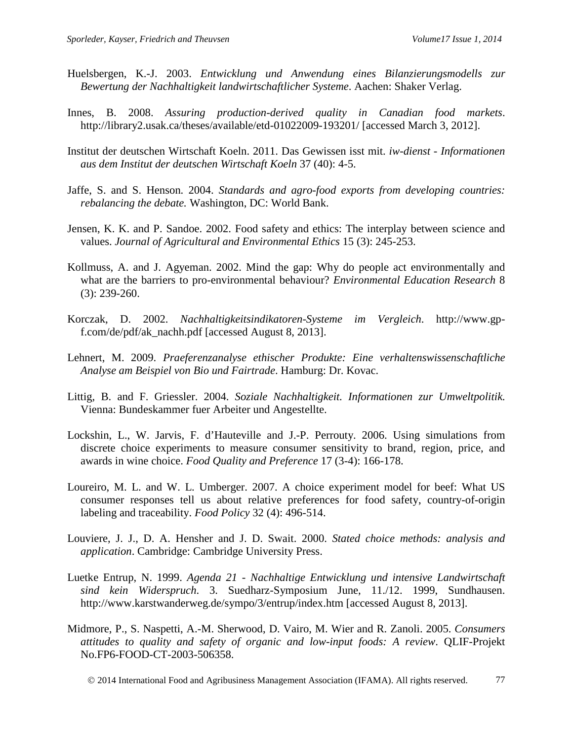- Huelsbergen, K.-J. 2003. *Entwicklung und Anwendung eines Bilanzierungsmodells zur Bewertung der Nachhaltigkeit landwirtschaftlicher Systeme*. Aachen: Shaker Verlag.
- Innes, B. 2008. *Assuring production-derived quality in Canadian food markets*. http://library2.usak.ca/theses/available/etd-01022009-193201/ [accessed March 3, 2012].
- Institut der deutschen Wirtschaft Koeln. 2011. Das Gewissen isst mit. *iw-dienst - Informationen aus dem Institut der deutschen Wirtschaft Koeln* 37 (40): 4-5.
- Jaffe, S. and S. Henson. 2004. *Standards and agro-food exports from developing countries: rebalancing the debate.* Washington, DC: World Bank.
- Jensen, K. K. and P. Sandoe. 2002. Food safety and ethics: The interplay between science and values. *Journal of Agricultural and Environmental Ethics* 15 (3): 245-253.
- Kollmuss, A. and J. Agyeman. 2002. Mind the gap: Why do people act environmentally and what are the barriers to pro-environmental behaviour? *Environmental Education Research* 8 (3): 239-260.
- Korczak, D. 2002. *Nachhaltigkeitsindikatoren-Systeme im Vergleich*. http://www.gpf.com/de/pdf/ak\_nachh.pdf [accessed August 8, 2013].
- Lehnert, M. 2009. *Praeferenzanalyse ethischer Produkte: Eine verhaltenswissenschaftliche Analyse am Beispiel von Bio und Fairtrade*. Hamburg: Dr. Kovac.
- Littig, B. and F. Griessler. 2004. *Soziale Nachhaltigkeit. Informationen zur Umweltpolitik.* Vienna: Bundeskammer fuer Arbeiter und Angestellte.
- Lockshin, L., W. Jarvis, F. d'Hauteville and J.-P. Perrouty. 2006. Using simulations from discrete choice experiments to measure consumer sensitivity to brand, region, price, and awards in wine choice. *Food Quality and Preference* 17 (3-4): 166-178.
- Loureiro, M. L. and W. L. Umberger. 2007. A choice experiment model for beef: What US consumer responses tell us about relative preferences for food safety, country-of-origin labeling and traceability. *Food Policy* 32 (4): 496-514.
- Louviere, J. J., D. A. Hensher and J. D. Swait. 2000. *Stated choice methods: analysis and application*. Cambridge: Cambridge University Press.
- Luetke Entrup, N. 1999. *Agenda 21 - Nachhaltige Entwicklung und intensive Landwirtschaft sind kein Widerspruch*. 3. Suedharz-Symposium June, 11./12. 1999, Sundhausen. http://www.karstwanderweg.de/sympo/3/entrup/index.htm [accessed August 8, 2013].
- Midmore, P., S. Naspetti, A.-M. Sherwood, D. Vairo, M. Wier and R. Zanoli. 2005. *Consumers attitudes to quality and safety of organic and low-input foods: A review*. QLIF-Projekt No.FP6-FOOD-CT-2003-506358.

2014 International Food and Agribusiness Management Association (IFAMA). All rights reserved. 77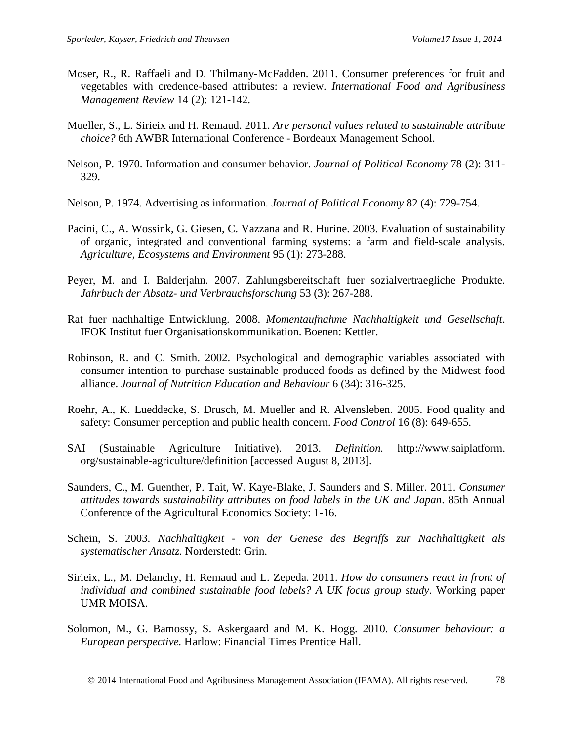- Moser, R., R. Raffaeli and D. Thilmany-McFadden. 2011. Consumer preferences for fruit and vegetables with credence-based attributes: a review. *International Food and Agribusiness Management Review* 14 (2): 121-142.
- Mueller, S., L. Sirieix and H. Remaud. 2011. *Are personal values related to sustainable attribute choice?* 6th AWBR International Conference - Bordeaux Management School.
- Nelson, P. 1970. Information and consumer behavior. *Journal of Political Economy* 78 (2): 311- 329.
- Nelson, P. 1974. Advertising as information. *Journal of Political Economy* 82 (4): 729-754.
- Pacini, C., A. Wossink, G. Giesen, C. Vazzana and R. Hurine. 2003. Evaluation of sustainability of organic, integrated and conventional farming systems: a farm and field-scale analysis. *Agriculture, Ecosystems and Environment* 95 (1): 273-288.
- Peyer, M. and I. Balderjahn. 2007. Zahlungsbereitschaft fuer sozialvertraegliche Produkte. *Jahrbuch der Absatz- und Verbrauchsforschung* 53 (3): 267-288.
- Rat fuer nachhaltige Entwicklung. 2008. *Momentaufnahme Nachhaltigkeit und Gesellschaft*. IFOK Institut fuer Organisationskommunikation. Boenen: Kettler.
- Robinson, R. and C. Smith. 2002. Psychological and demographic variables associated with consumer intention to purchase sustainable produced foods as defined by the Midwest food alliance. *Journal of Nutrition Education and Behaviour* 6 (34): 316-325.
- Roehr, A., K. Lueddecke, S. Drusch, M. Mueller and R. Alvensleben. 2005. Food quality and safety: Consumer perception and public health concern. *Food Control* 16 (8): 649-655.
- SAI (Sustainable Agriculture Initiative). 2013. *Definition.* http://www.saiplatform. org/sustainable-agriculture/definition [accessed August 8, 2013].
- Saunders, C., M. Guenther, P. Tait, W. Kaye-Blake, J. Saunders and S. Miller. 2011. *Consumer attitudes towards sustainability attributes on food labels in the UK and Japan*. 85th Annual Conference of the Agricultural Economics Society: 1-16.
- Schein, S. 2003. *Nachhaltigkeit - von der Genese des Begriffs zur Nachhaltigkeit als systematischer Ansatz.* Norderstedt: Grin.
- Sirieix, L., M. Delanchy, H. Remaud and L. Zepeda. 2011. *How do consumers react in front of individual and combined sustainable food labels? A UK focus group study*. Working paper UMR MOISA.
- Solomon, M., G. Bamossy, S. Askergaard and M. K. Hogg. 2010. *Consumer behaviour: a European perspective.* Harlow: Financial Times Prentice Hall.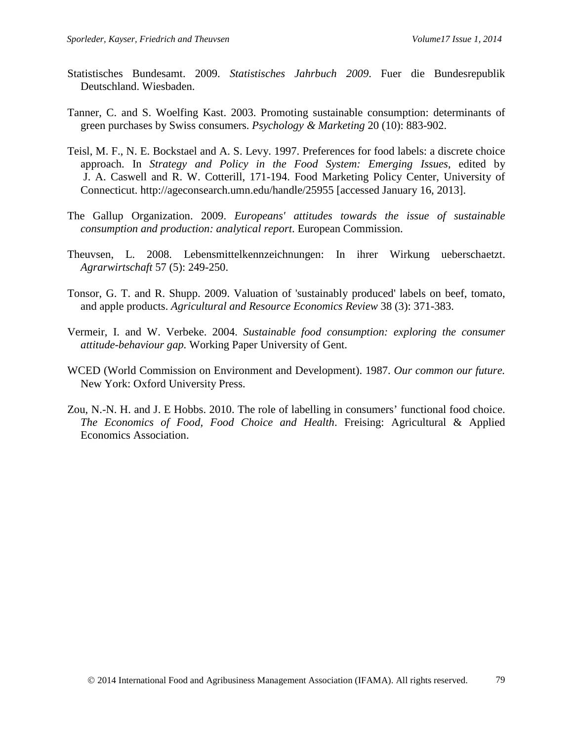- Statistisches Bundesamt. 2009. *Statistisches Jahrbuch 2009*. Fuer die Bundesrepublik Deutschland. Wiesbaden.
- Tanner, C. and S. Woelfing Kast. 2003. Promoting sustainable consumption: determinants of green purchases by Swiss consumers. *Psychology & Marketing* 20 (10): 883-902.
- Teisl, M. F., N. E. Bockstael and A. S. Levy. 1997. Preferences for food labels: a discrete choice approach. In *Strategy and Policy in the Food System: Emerging Issues*, edited by J. A. Caswell and R. W. Cotterill, 171-194. Food Marketing Policy Center, University of Connecticut. http://ageconsearch.umn.edu/handle/25955 [accessed January 16, 2013].
- The Gallup Organization. 2009. *Europeans' attitudes towards the issue of sustainable consumption and production: analytical report*. European Commission.
- Theuvsen, L. 2008. Lebensmittelkennzeichnungen: In ihrer Wirkung ueberschaetzt. *Agrarwirtschaft* 57 (5): 249-250.
- Tonsor, G. T. and R. Shupp. 2009. Valuation of 'sustainably produced' labels on beef, tomato, and apple products. *Agricultural and Resource Economics Review* 38 (3): 371-383.
- Vermeir, I. and W. Verbeke. 2004. *Sustainable food consumption: exploring the consumer attitude-behaviour gap.* Working Paper University of Gent.
- WCED (World Commission on Environment and Development). 1987. *Our common our future.* New York: Oxford University Press.
- Zou, N.-N. H. and J. E Hobbs. 2010. The role of labelling in consumers' functional food choice. *The Economics of Food, Food Choice and Health*. Freising: Agricultural & Applied Economics Association.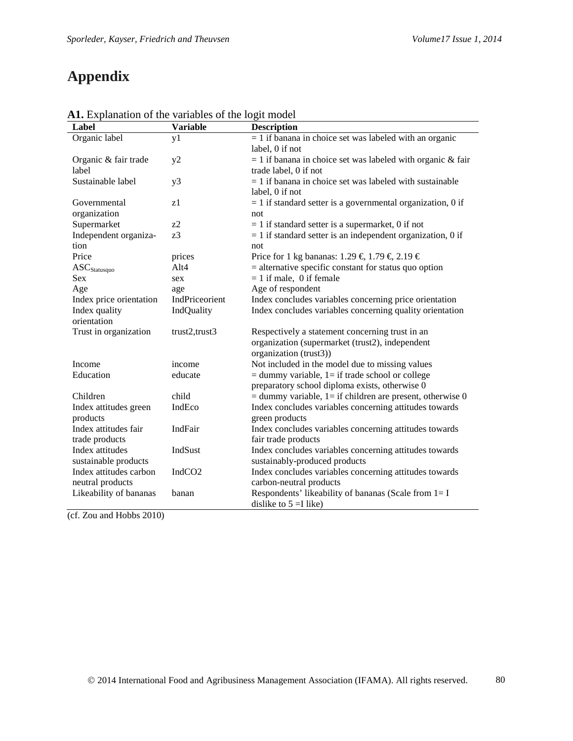# **Appendix**

| $\frac{1}{100}$ Explanation of the variables of the logit model<br>Label | <b>Variable</b>    | <b>Description</b>                                            |
|--------------------------------------------------------------------------|--------------------|---------------------------------------------------------------|
| Organic label                                                            | y1                 | $= 1$ if banana in choice set was labeled with an organic     |
|                                                                          |                    | label, 0 if not                                               |
| Organic & fair trade                                                     | y2                 | $= 1$ if banana in choice set was labeled with organic & fair |
| label                                                                    |                    | trade label, 0 if not                                         |
| Sustainable label                                                        | y3                 | $= 1$ if banana in choice set was labeled with sustainable    |
|                                                                          |                    | label, 0 if not                                               |
| Governmental                                                             | z1                 | $= 1$ if standard setter is a governmental organization, 0 if |
| organization                                                             |                    | not                                                           |
| Supermarket                                                              | $z^2$              | $= 1$ if standard setter is a supermarket, 0 if not           |
| Independent organiza-                                                    | z <sub>3</sub>     | $= 1$ if standard setter is an independent organization, 0 if |
| tion                                                                     |                    | not                                                           |
| Price                                                                    | prices             | Price for 1 kg bananas: 1.29 € 1.79 € 2.19 €                  |
| $ASC_{\text{Statusquo}}$                                                 | Alt4               | $=$ alternative specific constant for status quo option       |
| <b>Sex</b>                                                               | sex                | $= 1$ if male, 0 if female                                    |
| Age                                                                      | age                | Age of respondent                                             |
| Index price orientation                                                  | IndPriceorient     | Index concludes variables concerning price orientation        |
| Index quality                                                            | IndQuality         | Index concludes variables concerning quality orientation      |
| orientation                                                              |                    |                                                               |
| Trust in organization                                                    | trust2,trust3      | Respectively a statement concerning trust in an               |
|                                                                          |                    | organization (supermarket (trust2), independent               |
|                                                                          |                    | organization (trust3))                                        |
| Income                                                                   | income             | Not included in the model due to missing values               |
| Education                                                                | educate            | $=$ dummy variable, $1=$ if trade school or college           |
|                                                                          |                    | preparatory school diploma exists, otherwise 0                |
| Children                                                                 | child              | $=$ dummy variable, 1= if children are present, otherwise 0   |
| Index attitudes green                                                    | IndEco             | Index concludes variables concerning attitudes towards        |
| products                                                                 |                    | green products                                                |
| Index attitudes fair                                                     | IndFair            | Index concludes variables concerning attitudes towards        |
| trade products                                                           |                    | fair trade products                                           |
| Index attitudes                                                          | IndSust            | Index concludes variables concerning attitudes towards        |
| sustainable products                                                     |                    | sustainably-produced products                                 |
| Index attitudes carbon                                                   | IndCO <sub>2</sub> | Index concludes variables concerning attitudes towards        |
| neutral products                                                         |                    | carbon-neutral products                                       |
| Likeability of bananas                                                   | banan              | Respondents' likeability of bananas (Scale from $1 = I$       |
|                                                                          |                    | dislike to $5 =$ I like)                                      |

**A1.** Explanation of the variables of the logit model

(cf. Zou and Hobbs 2010)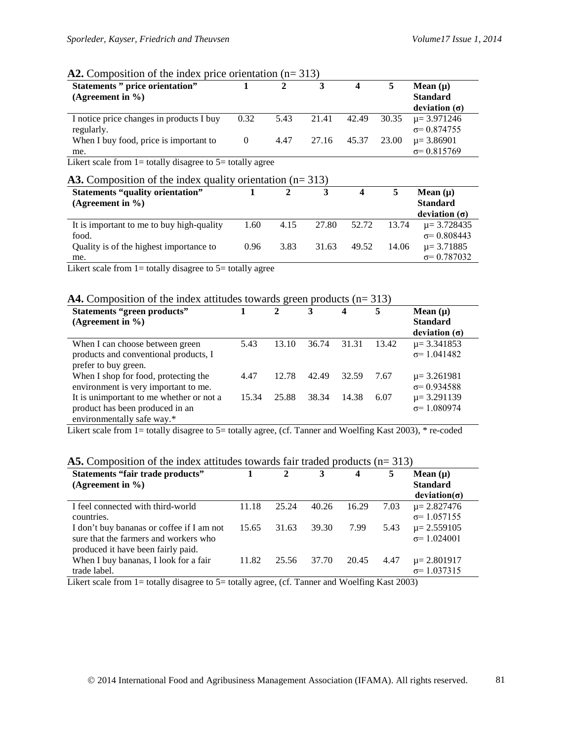#### A2. Composition of the index price orientation (n= 313)

| <b>Statements</b> " price orientation"<br>(Agreement in $\%$ ) |          |      |             |       |       | Mean $(\mu)$<br><b>Standard</b><br>deviation $(\sigma)$ |
|----------------------------------------------------------------|----------|------|-------------|-------|-------|---------------------------------------------------------|
| I notice price changes in products I buy                       | 0.32     | 5.43 | 21.41       | 42.49 | 30.35 | $\mu$ = 3.971246                                        |
| regularly.                                                     |          |      |             |       |       | $\sigma$ = 0.874755                                     |
| When I buy food, price is important to                         | $\theta$ | 4.47 | 27.16 45.37 |       | 23.00 | $\mu$ = 3.86901                                         |
| me.                                                            |          |      |             |       |       | $\sigma$ = 0.815769                                     |

Likert scale from  $1=$  totally disagree to  $5=$  totally agree

### A3. Composition of the index quality orientation (n= 313)

| <b>Statements "quality orientation"</b>   |      |      |       | 4     |       | Mean $(\mu)$         |
|-------------------------------------------|------|------|-------|-------|-------|----------------------|
| (Agreement in $\%$ )                      |      |      |       |       |       | <b>Standard</b>      |
|                                           |      |      |       |       |       | deviation $(\sigma)$ |
| It is important to me to buy high-quality | 1.60 | 4.15 | 27.80 | 52.72 | 13.74 | $\mu$ = 3.728435     |
| food.                                     |      |      |       |       |       | $\sigma$ = 0.808443  |
| Quality is of the highest importance to   | 0.96 | 3.83 | 31.63 | 49.52 | 14.06 | $\mu = 3.71885$      |
| me.                                       |      |      |       |       |       | $\sigma = 0.787032$  |

Likert scale from  $1=$  totally disagree to  $5=$  totally agree

#### A4. Composition of the index attitudes towards green products (n= 313)

| <b>Statements "green products"</b><br>(Agreement in $\%$ )                                                |       | $\mathbf{2}$ | 3     | 4     | 5     | Mean $(\mu)$<br><b>Standard</b><br>deviation (σ) |
|-----------------------------------------------------------------------------------------------------------|-------|--------------|-------|-------|-------|--------------------------------------------------|
| When I can choose between green<br>products and conventional products, I<br>prefer to buy green.          | 5.43  | 13.10        | 36.74 | 31.31 | 13.42 | $\mu$ = 3.341853<br>$\sigma$ = 1.041482          |
| When I shop for food, protecting the<br>environment is very important to me.                              | 4.47  | 12.78        | 42.49 | 32.59 | 7.67  | $\mu$ = 3.261981<br>$\sigma$ = 0.934588          |
| It is unimportant to me whether or not a<br>product has been produced in an<br>environmentally safe way.* | 15.34 | 25.88        | 38.34 | 14.38 | 6.07  | $\mu$ = 3.291139<br>$\sigma$ = 1.080974          |

Likert scale from 1= totally disagree to 5= totally agree, (cf. Tanner and Woelfing Kast 2003), \* re-coded

### **A5.** Composition of the index attitudes towards fair traded products (n= 313)

| <b>Statements "fair trade products"</b><br>(Agreement in $\%$ )                                                          |       | $\mathbf{2}$ | 3     | $\overline{\mathbf{4}}$ | 5    | Mean $(\mu)$<br><b>Standard</b><br>deviation( $\sigma$ ) |
|--------------------------------------------------------------------------------------------------------------------------|-------|--------------|-------|-------------------------|------|----------------------------------------------------------|
| I feel connected with third-world<br>countries.                                                                          | 11.18 | 25.24        | 40.26 | 16.29                   | 7.03 | $\mu$ = 2.827476<br>$\sigma$ = 1.057155                  |
| I don't buy bananas or coffee if I am not<br>sure that the farmers and workers who<br>produced it have been fairly paid. | 15.65 | 31.63        | 39.30 | 7.99                    | 5.43 | $\mu$ = 2.559105<br>$\sigma$ = 1.024001                  |
| When I buy bananas, I look for a fair<br>trade label.                                                                    | 11.82 | 25.56        | 37.70 | 20.45                   | 4.47 | $\mu$ = 2.801917<br>$\sigma$ = 1.037315                  |

Likert scale from 1= totally disagree to 5= totally agree, (cf. Tanner and Woelfing Kast 2003)